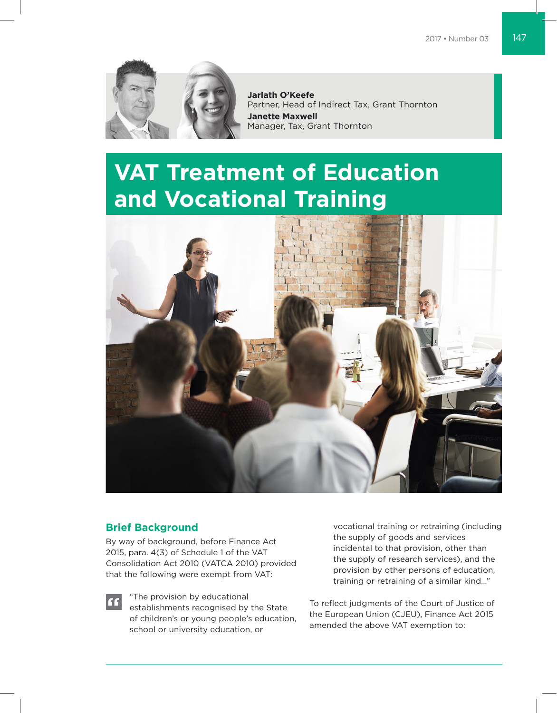

**Jarlath O'Keefe** Partner, Head of Indirect Tax, Grant Thornton **Janette Maxwell** Manager, Tax, Grant Thornton

# **VAT Treatment of Education and Vocational Training**



## **Brief Background**

"

By way of background, before Finance Act 2015, para. 4(3) of Schedule 1 of the VAT Consolidation Act 2010 (VATCA 2010) provided that the following were exempt from VAT:

> "The provision by educational establishments recognised by the State of children's or young people's education, school or university education, or

vocational training or retraining (including the supply of goods and services incidental to that provision, other than the supply of research services), and the provision by other persons of education, training or retraining of a similar kind…"

To reflect judgments of the Court of Justice of the European Union (CJEU), Finance Act 2015 amended the above VAT exemption to: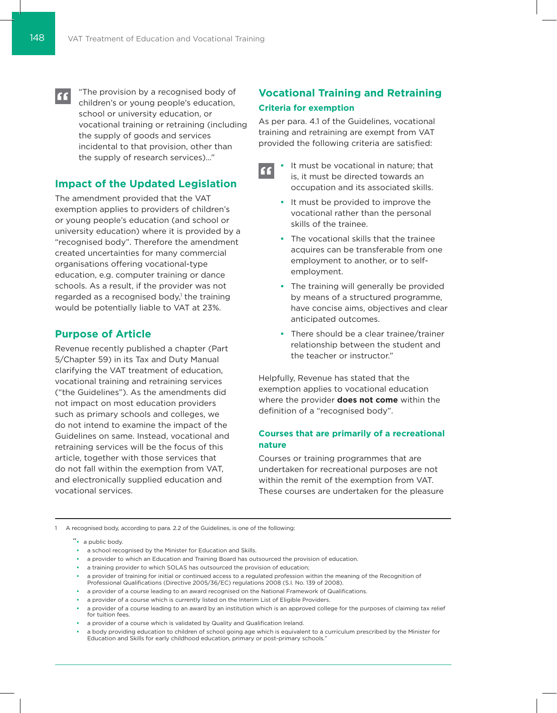"The provision by a recognised body of  $\epsilon$ children's or young people's education, school or university education, or vocational training or retraining (including the supply of goods and services incidental to that provision, other than the supply of research services)…"

# **Impact of the Updated Legislation**

The amendment provided that the VAT exemption applies to providers of children's or young people's education (and school or university education) where it is provided by a "recognised body". Therefore the amendment created uncertainties for many commercial organisations offering vocational-type education, e.g. computer training or dance schools. As a result, if the provider was not regarded as a recognised body,<sup>1</sup> the training would be potentially liable to VAT at 23%.

## **Purpose of Article**

Revenue recently published a chapter (Part 5/Chapter 59) in its Tax and Duty Manual clarifying the VAT treatment of education, vocational training and retraining services ("the Guidelines"). As the amendments did not impact on most education providers such as primary schools and colleges, we do not intend to examine the impact of the Guidelines on same. Instead, vocational and retraining services will be the focus of this article, together with those services that do not fall within the exemption from VAT, and electronically supplied education and vocational services.

# **Vocational Training and Retraining Criteria for exemption**

As per para. 4.1 of the Guidelines, vocational training and retraining are exempt from VAT provided the following criteria are satisfied:

- It must be vocational in nature; that **F** is, it must be directed towards an occupation and its associated skills.
	- **•**  It must be provided to improve the vocational rather than the personal skills of the trainee.
	- **•**  The vocational skills that the trainee acquires can be transferable from one employment to another, or to selfemployment.
	- **•**  The training will generally be provided by means of a structured programme, have concise aims, objectives and clear anticipated outcomes.
	- **•**  There should be a clear trainee/trainer relationship between the student and the teacher or instructor."

Helpfully, Revenue has stated that the exemption applies to vocational education where the provider **does not come** within the definition of a "recognised body".

### **Courses that are primarily of a recreational nature**

Courses or training programmes that are undertaken for recreational purposes are not within the remit of the exemption from VAT. These courses are undertaken for the pleasure

1 A recognised body, according to para. 2.2 of the Guidelines, is one of the following:

"**•**  a public body.

- **•**  a school recognised by the Minister for Education and Skills.
- **•**  a provider to which an Education and Training Board has outsourced the provision of education.
- **•**  a training provider to which SOLAS has outsourced the provision of education;
- a provider of training for initial or continued access to a regulated profession within the meaning of the Recognition of Professional Qualifications (Directive 2005/36/EC) regulations 2008 (S.I. No. 139 of 2008).
- **•**  a provider of a course leading to an award recognised on the National Framework of Qualifications.
- **•**  a provider of a course which is currently listed on the Interim List of Eligible Providers.
- **•**  a provider of a course leading to an award by an institution which is an approved college for the purposes of claiming tax relief for tuition fees.
- **•**  a provider of a course which is validated by Quality and Qualification Ireland.
- **•**  a body providing education to children of school going age which is equivalent to a curriculum prescribed by the Minister for Education and Skills for early childhood education, primary or post-primary schools."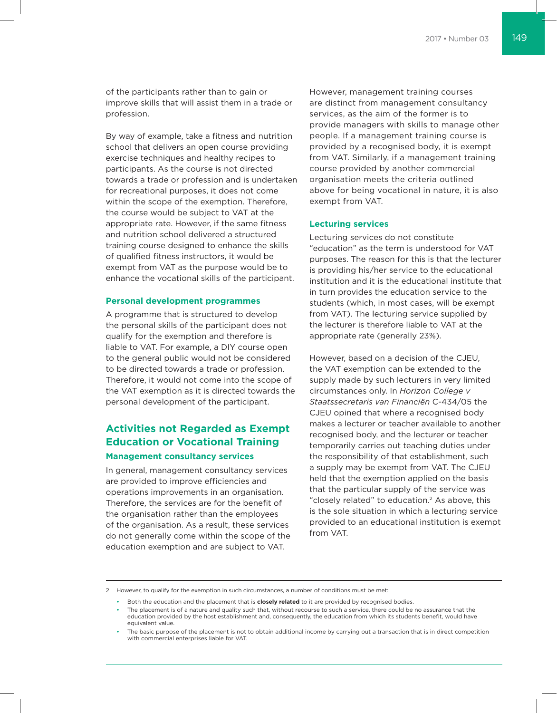of the participants rather than to gain or improve skills that will assist them in a trade or profession.

By way of example, take a fitness and nutrition school that delivers an open course providing exercise techniques and healthy recipes to participants. As the course is not directed towards a trade or profession and is undertaken for recreational purposes, it does not come within the scope of the exemption. Therefore, the course would be subject to VAT at the appropriate rate. However, if the same fitness and nutrition school delivered a structured training course designed to enhance the skills of qualified fitness instructors, it would be exempt from VAT as the purpose would be to enhance the vocational skills of the participant.

#### **Personal development programmes**

A programme that is structured to develop the personal skills of the participant does not qualify for the exemption and therefore is liable to VAT. For example, a DIY course open to the general public would not be considered to be directed towards a trade or profession. Therefore, it would not come into the scope of the VAT exemption as it is directed towards the personal development of the participant.

## **Activities not Regarded as Exempt Education or Vocational Training**

#### **Management consultancy services**

In general, management consultancy services are provided to improve efficiencies and operations improvements in an organisation. Therefore, the services are for the benefit of the organisation rather than the employees of the organisation. As a result, these services do not generally come within the scope of the education exemption and are subject to VAT.

However, management training courses are distinct from management consultancy services, as the aim of the former is to provide managers with skills to manage other people. If a management training course is provided by a recognised body, it is exempt from VAT. Similarly, if a management training course provided by another commercial organisation meets the criteria outlined above for being vocational in nature, it is also exempt from VAT.

#### **Lecturing services**

Lecturing services do not constitute "education" as the term is understood for VAT purposes. The reason for this is that the lecturer is providing his/her service to the educational institution and it is the educational institute that in turn provides the education service to the students (which, in most cases, will be exempt from VAT). The lecturing service supplied by the lecturer is therefore liable to VAT at the appropriate rate (generally 23%).

However, based on a decision of the CJEU, the VAT exemption can be extended to the supply made by such lecturers in very limited circumstances only. In *Horizon College v Staatssecretaris van Financiën* C-434/05 the CJEU opined that where a recognised body makes a lecturer or teacher available to another recognised body, and the lecturer or teacher temporarily carries out teaching duties under the responsibility of that establishment, such a supply may be exempt from VAT. The CJEU held that the exemption applied on the basis that the particular supply of the service was "closely related" to education.2 As above, this is the sole situation in which a lecturing service provided to an educational institution is exempt from VAT.

<sup>2</sup> However, to qualify for the exemption in such circumstances, a number of conditions must be met:

**<sup>•</sup>**  Both the education and the placement that is **closely related** to it are provided by recognised bodies.

The placement is of a nature and quality such that, without recourse to such a service, there could be no assurance that the education provided by the host establishment and, consequently, the education from which its students benefit, would have equivalent value.

The basic purpose of the placement is not to obtain additional income by carrying out a transaction that is in direct competition with commercial enterprises liable for VAT.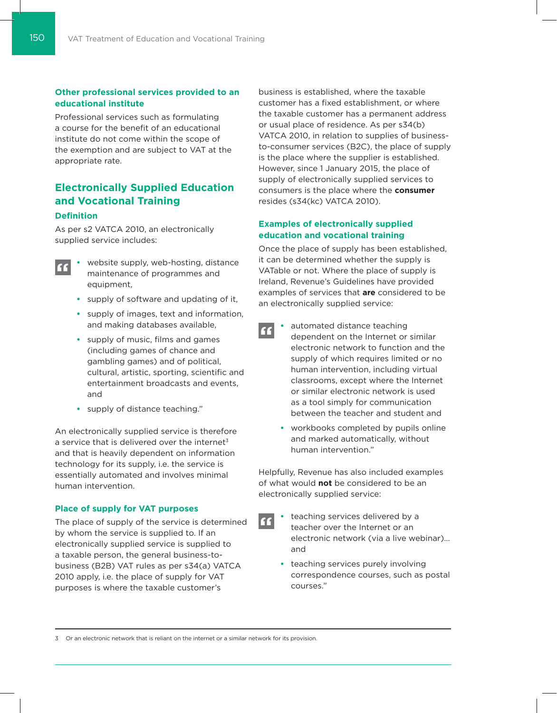#### **Other professional services provided to an educational institute**

Professional services such as formulating a course for the benefit of an educational institute do not come within the scope of the exemption and are subject to VAT at the appropriate rate.

# **Electronically Supplied Education and Vocational Training**

#### **Definition**

As per s2 VATCA 2010, an electronically supplied service includes:

- **•**  website supply, web-hosting, distance " maintenance of programmes and equipment,
	- **•**  supply of software and updating of it,
	- **•**  supply of images, text and information, and making databases available,
	- **•**  supply of music, films and games (including games of chance and gambling games) and of political, cultural, artistic, sporting, scientific and entertainment broadcasts and events, and
	- **•**  supply of distance teaching."

An electronically supplied service is therefore a service that is delivered over the internet<sup>3</sup> and that is heavily dependent on information technology for its supply, i.e. the service is essentially automated and involves minimal human intervention.

#### **Place of supply for VAT purposes**

The place of supply of the service is determined by whom the service is supplied to. If an electronically supplied service is supplied to a taxable person, the general business-tobusiness (B2B) VAT rules as per s34(a) VATCA 2010 apply, i.e. the place of supply for VAT purposes is where the taxable customer's

business is established, where the taxable customer has a fixed establishment, or where the taxable customer has a permanent address or usual place of residence. As per s34(b) VATCA 2010, in relation to supplies of businessto-consumer services (B2C), the place of supply is the place where the supplier is established. However, since 1 January 2015, the place of supply of electronically supplied services to consumers is the place where the **consumer** resides (s34(kc) VATCA 2010).

#### **Examples of electronically supplied education and vocational training**

Once the place of supply has been established, it can be determined whether the supply is VATable or not. Where the place of supply is Ireland, Revenue's Guidelines have provided examples of services that **are** considered to be an electronically supplied service:

- automated distance teaching " dependent on the Internet or similar electronic network to function and the supply of which requires limited or no human intervention, including virtual classrooms, except where the Internet or similar electronic network is used as a tool simply for communication between the teacher and student and
	- **•**  workbooks completed by pupils online and marked automatically, without human intervention."

Helpfully, Revenue has also included examples of what would **not** be considered to be an electronically supplied service:

- teaching services delivered by a **A** teacher over the Internet or an electronic network (via a live webinar)… and
	- **•**  teaching services purely involving correspondence courses, such as postal courses."

3 Or an electronic network that is reliant on the internet or a similar network for its provision.